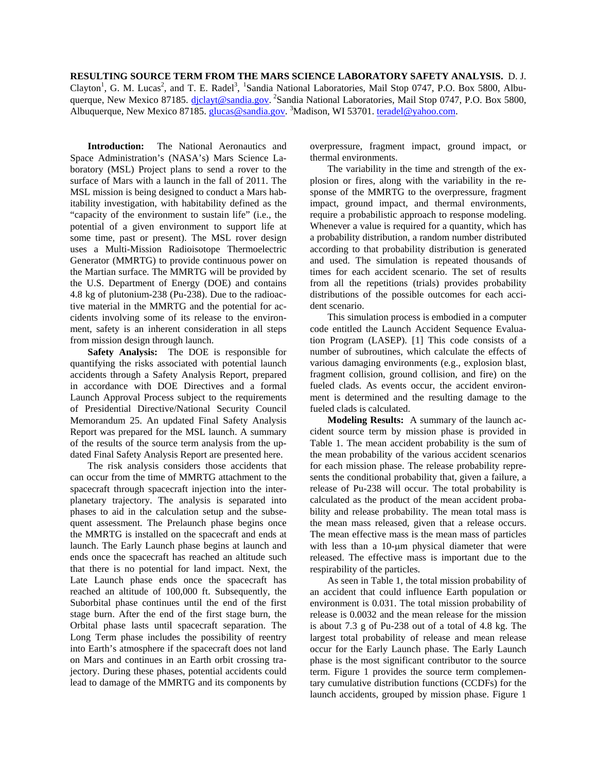**RESULTING SOURCE TERM FROM THE MARS SCIENCE LABORATORY SAFETY ANALYSIS.** D. J. Clayton<sup>1</sup>, G. M. Lucas<sup>2</sup>, and T. E. Radel<sup>3</sup>, <sup>1</sup>Sandia National Laboratories, Mail Stop 0747, P.O. Box 5800, Albuquerque, New Mexico 87185. diclayt@sandia.gov. <sup>2</sup>Sandia National Laboratories, Mail Stop 0747, P.O. Box 5800, Albuquerque, New Mexico 87185. **glucas@sandia.gov.** <sup>3</sup>Madison, WI 53701. teradel@yahoo.com.

**Introduction:** The National Aeronautics and Space Administration's (NASA's) Mars Science Laboratory (MSL) Project plans to send a rover to the surface of Mars with a launch in the fall of 2011. The MSL mission is being designed to conduct a Mars habitability investigation, with habitability defined as the "capacity of the environment to sustain life" (i.e., the potential of a given environment to support life at some time, past or present). The MSL rover design uses a Multi-Mission Radioisotope Thermoelectric Generator (MMRTG) to provide continuous power on the Martian surface. The MMRTG will be provided by the U.S. Department of Energy (DOE) and contains 4.8 kg of plutonium-238 (Pu-238). Due to the radioactive material in the MMRTG and the potential for accidents involving some of its release to the environment, safety is an inherent consideration in all steps from mission design through launch.

**Safety Analysis:** The DOE is responsible for quantifying the risks associated with potential launch accidents through a Safety Analysis Report, prepared in accordance with DOE Directives and a formal Launch Approval Process subject to the requirements of Presidential Directive/National Security Council Memorandum 25. An updated Final Safety Analysis Report was prepared for the MSL launch. A summary of the results of the source term analysis from the updated Final Safety Analysis Report are presented here.

The risk analysis considers those accidents that can occur from the time of MMRTG attachment to the spacecraft through spacecraft injection into the interplanetary trajectory. The analysis is separated into phases to aid in the calculation setup and the subsequent assessment. The Prelaunch phase begins once the MMRTG is installed on the spacecraft and ends at launch. The Early Launch phase begins at launch and ends once the spacecraft has reached an altitude such that there is no potential for land impact. Next, the Late Launch phase ends once the spacecraft has reached an altitude of 100,000 ft. Subsequently, the Suborbital phase continues until the end of the first stage burn. After the end of the first stage burn, the Orbital phase lasts until spacecraft separation. The Long Term phase includes the possibility of reentry into Earth's atmosphere if the spacecraft does not land on Mars and continues in an Earth orbit crossing trajectory. During these phases, potential accidents could lead to damage of the MMRTG and its components by

overpressure, fragment impact, ground impact, or thermal environments.

The variability in the time and strength of the explosion or fires, along with the variability in the response of the MMRTG to the overpressure, fragment impact, ground impact, and thermal environments, require a probabilistic approach to response modeling. Whenever a value is required for a quantity, which has a probability distribution, a random number distributed according to that probability distribution is generated and used. The simulation is repeated thousands of times for each accident scenario. The set of results from all the repetitions (trials) provides probability distributions of the possible outcomes for each accident scenario.

This simulation process is embodied in a computer code entitled the Launch Accident Sequence Evaluation Program (LASEP). [1] This code consists of a number of subroutines, which calculate the effects of various damaging environments (e.g., explosion blast, fragment collision, ground collision, and fire) on the fueled clads. As events occur, the accident environment is determined and the resulting damage to the fueled clads is calculated.

**Modeling Results:** A summary of the launch accident source term by mission phase is provided in Table 1. The mean accident probability is the sum of the mean probability of the various accident scenarios for each mission phase. The release probability represents the conditional probability that, given a failure, a release of Pu-238 will occur. The total probability is calculated as the product of the mean accident probability and release probability. The mean total mass is the mean mass released, given that a release occurs. The mean effective mass is the mean mass of particles with less than a 10-um physical diameter that were released. The effective mass is important due to the respirability of the particles.

As seen in Table 1, the total mission probability of an accident that could influence Earth population or environment is 0.031. The total mission probability of release is 0.0032 and the mean release for the mission is about 7.3 g of Pu-238 out of a total of 4.8 kg. The largest total probability of release and mean release occur for the Early Launch phase. The Early Launch phase is the most significant contributor to the source term. Figure 1 provides the source term complementary cumulative distribution functions (CCDFs) for the launch accidents, grouped by mission phase. Figure 1